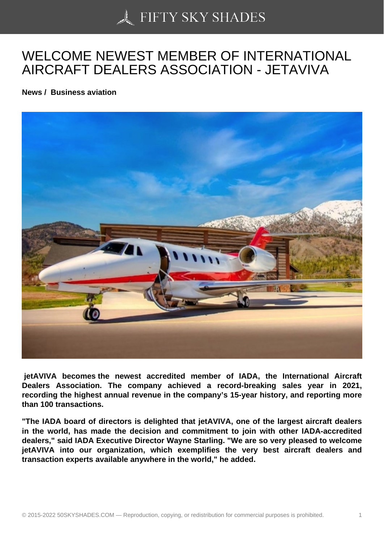## [WELCOME NEWEST](https://50skyshades.com) MEMBER OF INTERNATIONAL AIRCRAFT DEALERS ASSOCIATION - JETAVIVA

News / Business aviation

 jetAVIVA becomes the newest accredited member of IADA, the International Aircraft Dealers Association. The company achieved a record-breaking sales year in 2021, recording the highest annual revenue in the company's 15-year history, and reporting more than 100 transactions.

"The IADA board of directors is delighted that jetAVIVA, one of the largest aircraft dealers in the world, has made the decision and commitment to join with other IADA-accredited dealers," said IADA Executive Director Wayne Starling. "We are so very pleased to welcome jetAVIVA into our organization, which exemplifies the very best aircraft dealers and transaction experts available anywhere in the world," he added.